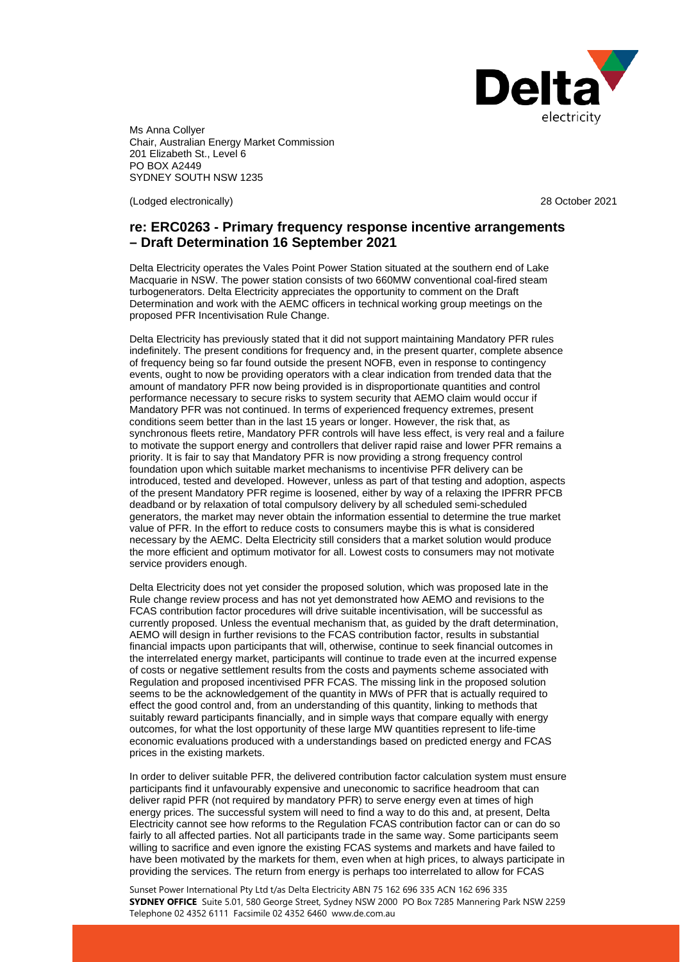

Ms Anna Collyer Chair, Australian Energy Market Commission 201 Elizabeth St., Level 6 PO BOX A2449 SYDNEY SOUTH NSW 1235

(Lodged electronically) 28 October 2021

# **re: ERC0263 - Primary frequency response incentive arrangements – Draft Determination 16 September 2021**

Delta Electricity operates the Vales Point Power Station situated at the southern end of Lake Macquarie in NSW. The power station consists of two 660MW conventional coal-fired steam turbogenerators. Delta Electricity appreciates the opportunity to comment on the Draft Determination and work with the AEMC officers in technical working group meetings on the proposed PFR Incentivisation Rule Change.

Delta Electricity has previously stated that it did not support maintaining Mandatory PFR rules indefinitely. The present conditions for frequency and, in the present quarter, complete absence of frequency being so far found outside the present NOFB, even in response to contingency events, ought to now be providing operators with a clear indication from trended data that the amount of mandatory PFR now being provided is in disproportionate quantities and control performance necessary to secure risks to system security that AEMO claim would occur if Mandatory PFR was not continued. In terms of experienced frequency extremes, present conditions seem better than in the last 15 years or longer. However, the risk that, as synchronous fleets retire, Mandatory PFR controls will have less effect, is very real and a failure to motivate the support energy and controllers that deliver rapid raise and lower PFR remains a priority. It is fair to say that Mandatory PFR is now providing a strong frequency control foundation upon which suitable market mechanisms to incentivise PFR delivery can be introduced, tested and developed. However, unless as part of that testing and adoption, aspects of the present Mandatory PFR regime is loosened, either by way of a relaxing the IPFRR PFCB deadband or by relaxation of total compulsory delivery by all scheduled semi-scheduled generators, the market may never obtain the information essential to determine the true market value of PFR. In the effort to reduce costs to consumers maybe this is what is considered necessary by the AEMC. Delta Electricity still considers that a market solution would produce the more efficient and optimum motivator for all. Lowest costs to consumers may not motivate service providers enough.

Delta Electricity does not yet consider the proposed solution, which was proposed late in the Rule change review process and has not yet demonstrated how AEMO and revisions to the FCAS contribution factor procedures will drive suitable incentivisation, will be successful as currently proposed. Unless the eventual mechanism that, as guided by the draft determination, AEMO will design in further revisions to the FCAS contribution factor, results in substantial financial impacts upon participants that will, otherwise, continue to seek financial outcomes in the interrelated energy market, participants will continue to trade even at the incurred expense of costs or negative settlement results from the costs and payments scheme associated with Regulation and proposed incentivised PFR FCAS. The missing link in the proposed solution seems to be the acknowledgement of the quantity in MWs of PFR that is actually required to effect the good control and, from an understanding of this quantity, linking to methods that suitably reward participants financially, and in simple ways that compare equally with energy outcomes, for what the lost opportunity of these large MW quantities represent to life-time economic evaluations produced with a understandings based on predicted energy and FCAS prices in the existing markets.

In order to deliver suitable PFR, the delivered contribution factor calculation system must ensure participants find it unfavourably expensive and uneconomic to sacrifice headroom that can deliver rapid PFR (not required by mandatory PFR) to serve energy even at times of high energy prices. The successful system will need to find a way to do this and, at present, Delta Electricity cannot see how reforms to the Regulation FCAS contribution factor can or can do so fairly to all affected parties. Not all participants trade in the same way. Some participants seem willing to sacrifice and even ignore the existing FCAS systems and markets and have failed to have been motivated by the markets for them, even when at high prices, to always participate in providing the services. The return from energy is perhaps too interrelated to allow for FCAS

Sunset Power International Pty Ltd t/as Delta Electricity ABN 75 162 696 335 ACN 162 696 335 **SYDNEY OFFICE** Suite 5.01, 580 George Street, Sydney NSW 2000 PO Box 7285 Mannering Park NSW 2259 Telephone 02 4352 6111 Facsimile 02 4352 6460 www.de.com.au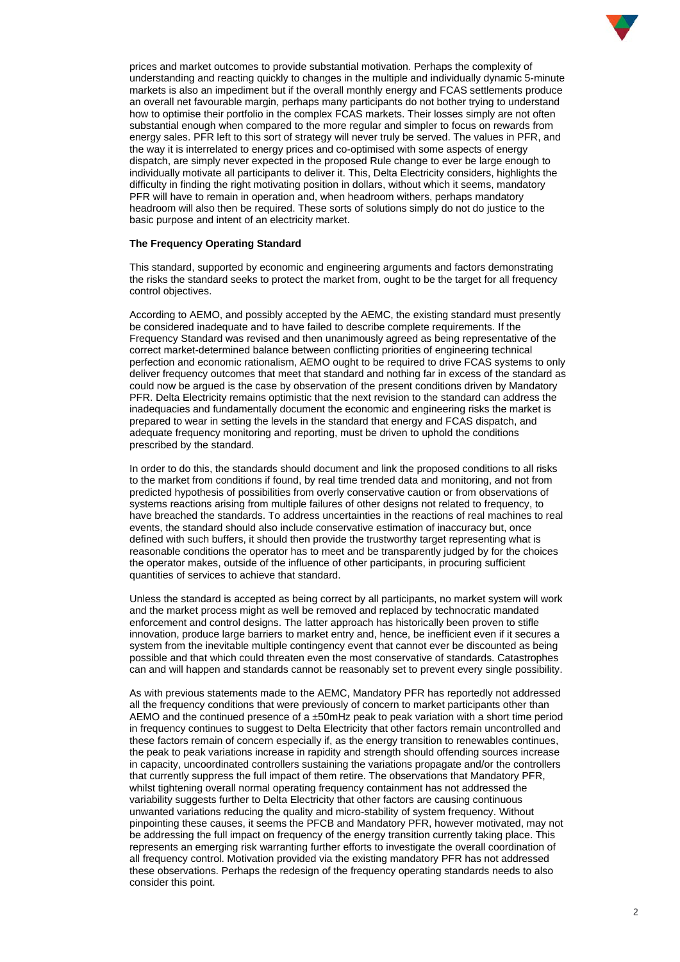

prices and market outcomes to provide substantial motivation. Perhaps the complexity of understanding and reacting quickly to changes in the multiple and individually dynamic 5-minute markets is also an impediment but if the overall monthly energy and FCAS settlements produce an overall net favourable margin, perhaps many participants do not bother trying to understand how to optimise their portfolio in the complex FCAS markets. Their losses simply are not often substantial enough when compared to the more regular and simpler to focus on rewards from energy sales. PFR left to this sort of strategy will never truly be served. The values in PFR, and the way it is interrelated to energy prices and co-optimised with some aspects of energy dispatch, are simply never expected in the proposed Rule change to ever be large enough to individually motivate all participants to deliver it. This, Delta Electricity considers, highlights the difficulty in finding the right motivating position in dollars, without which it seems, mandatory PFR will have to remain in operation and, when headroom withers, perhaps mandatory headroom will also then be required. These sorts of solutions simply do not do justice to the basic purpose and intent of an electricity market.

## **The Frequency Operating Standard**

This standard, supported by economic and engineering arguments and factors demonstrating the risks the standard seeks to protect the market from, ought to be the target for all frequency control objectives.

According to AEMO, and possibly accepted by the AEMC, the existing standard must presently be considered inadequate and to have failed to describe complete requirements. If the Frequency Standard was revised and then unanimously agreed as being representative of the correct market-determined balance between conflicting priorities of engineering technical perfection and economic rationalism, AEMO ought to be required to drive FCAS systems to only deliver frequency outcomes that meet that standard and nothing far in excess of the standard as could now be argued is the case by observation of the present conditions driven by Mandatory PFR. Delta Electricity remains optimistic that the next revision to the standard can address the inadequacies and fundamentally document the economic and engineering risks the market is prepared to wear in setting the levels in the standard that energy and FCAS dispatch, and adequate frequency monitoring and reporting, must be driven to uphold the conditions prescribed by the standard.

In order to do this, the standards should document and link the proposed conditions to all risks to the market from conditions if found, by real time trended data and monitoring, and not from predicted hypothesis of possibilities from overly conservative caution or from observations of systems reactions arising from multiple failures of other designs not related to frequency, to have breached the standards. To address uncertainties in the reactions of real machines to real events, the standard should also include conservative estimation of inaccuracy but, once defined with such buffers, it should then provide the trustworthy target representing what is reasonable conditions the operator has to meet and be transparently judged by for the choices the operator makes, outside of the influence of other participants, in procuring sufficient quantities of services to achieve that standard.

Unless the standard is accepted as being correct by all participants, no market system will work and the market process might as well be removed and replaced by technocratic mandated enforcement and control designs. The latter approach has historically been proven to stifle innovation, produce large barriers to market entry and, hence, be inefficient even if it secures a system from the inevitable multiple contingency event that cannot ever be discounted as being possible and that which could threaten even the most conservative of standards. Catastrophes can and will happen and standards cannot be reasonably set to prevent every single possibility.

As with previous statements made to the AEMC, Mandatory PFR has reportedly not addressed all the frequency conditions that were previously of concern to market participants other than AEMO and the continued presence of a  $\pm$ 50mHz peak to peak variation with a short time period in frequency continues to suggest to Delta Electricity that other factors remain uncontrolled and these factors remain of concern especially if, as the energy transition to renewables continues, the peak to peak variations increase in rapidity and strength should offending sources increase in capacity, uncoordinated controllers sustaining the variations propagate and/or the controllers that currently suppress the full impact of them retire. The observations that Mandatory PFR, whilst tightening overall normal operating frequency containment has not addressed the variability suggests further to Delta Electricity that other factors are causing continuous unwanted variations reducing the quality and micro-stability of system frequency. Without pinpointing these causes, it seems the PFCB and Mandatory PFR, however motivated, may not be addressing the full impact on frequency of the energy transition currently taking place. This represents an emerging risk warranting further efforts to investigate the overall coordination of all frequency control. Motivation provided via the existing mandatory PFR has not addressed these observations. Perhaps the redesign of the frequency operating standards needs to also consider this point.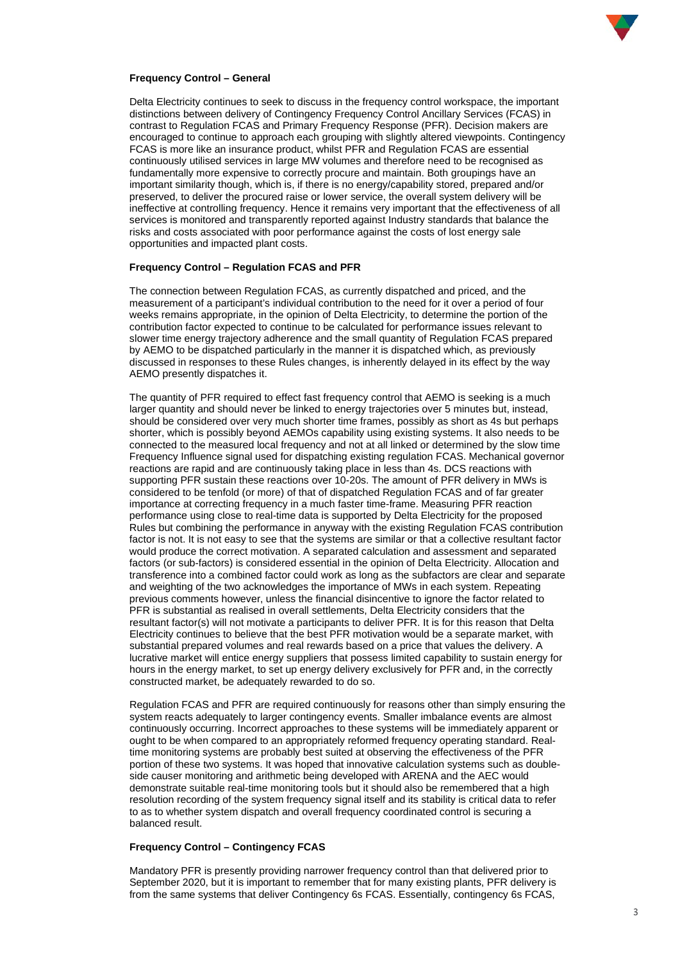

#### **Frequency Control – General**

Delta Electricity continues to seek to discuss in the frequency control workspace, the important distinctions between delivery of Contingency Frequency Control Ancillary Services (FCAS) in contrast to Regulation FCAS and Primary Frequency Response (PFR). Decision makers are encouraged to continue to approach each grouping with slightly altered viewpoints. Contingency FCAS is more like an insurance product, whilst PFR and Regulation FCAS are essential continuously utilised services in large MW volumes and therefore need to be recognised as fundamentally more expensive to correctly procure and maintain. Both groupings have an important similarity though, which is, if there is no energy/capability stored, prepared and/or preserved, to deliver the procured raise or lower service, the overall system delivery will be ineffective at controlling frequency. Hence it remains very important that the effectiveness of all services is monitored and transparently reported against Industry standards that balance the risks and costs associated with poor performance against the costs of lost energy sale opportunities and impacted plant costs.

#### **Frequency Control – Regulation FCAS and PFR**

The connection between Regulation FCAS, as currently dispatched and priced, and the measurement of a participant's individual contribution to the need for it over a period of four weeks remains appropriate, in the opinion of Delta Electricity, to determine the portion of the contribution factor expected to continue to be calculated for performance issues relevant to slower time energy trajectory adherence and the small quantity of Regulation FCAS prepared by AEMO to be dispatched particularly in the manner it is dispatched which, as previously discussed in responses to these Rules changes, is inherently delayed in its effect by the way AEMO presently dispatches it.

The quantity of PFR required to effect fast frequency control that AEMO is seeking is a much larger quantity and should never be linked to energy trajectories over 5 minutes but, instead, should be considered over very much shorter time frames, possibly as short as 4s but perhaps shorter, which is possibly beyond AEMOs capability using existing systems. It also needs to be connected to the measured local frequency and not at all linked or determined by the slow time Frequency Influence signal used for dispatching existing regulation FCAS. Mechanical governor reactions are rapid and are continuously taking place in less than 4s. DCS reactions with supporting PFR sustain these reactions over 10-20s. The amount of PFR delivery in MWs is considered to be tenfold (or more) of that of dispatched Regulation FCAS and of far greater importance at correcting frequency in a much faster time-frame. Measuring PFR reaction performance using close to real-time data is supported by Delta Electricity for the proposed Rules but combining the performance in anyway with the existing Regulation FCAS contribution factor is not. It is not easy to see that the systems are similar or that a collective resultant factor would produce the correct motivation. A separated calculation and assessment and separated factors (or sub-factors) is considered essential in the opinion of Delta Electricity. Allocation and transference into a combined factor could work as long as the subfactors are clear and separate and weighting of the two acknowledges the importance of MWs in each system. Repeating previous comments however, unless the financial disincentive to ignore the factor related to PFR is substantial as realised in overall settlements, Delta Electricity considers that the resultant factor(s) will not motivate a participants to deliver PFR. It is for this reason that Delta Electricity continues to believe that the best PFR motivation would be a separate market, with substantial prepared volumes and real rewards based on a price that values the delivery. A lucrative market will entice energy suppliers that possess limited capability to sustain energy for hours in the energy market, to set up energy delivery exclusively for PFR and, in the correctly constructed market, be adequately rewarded to do so.

Regulation FCAS and PFR are required continuously for reasons other than simply ensuring the system reacts adequately to larger contingency events. Smaller imbalance events are almost continuously occurring. Incorrect approaches to these systems will be immediately apparent or ought to be when compared to an appropriately reformed frequency operating standard. Realtime monitoring systems are probably best suited at observing the effectiveness of the PFR portion of these two systems. It was hoped that innovative calculation systems such as doubleside causer monitoring and arithmetic being developed with ARENA and the AEC would demonstrate suitable real-time monitoring tools but it should also be remembered that a high resolution recording of the system frequency signal itself and its stability is critical data to refer to as to whether system dispatch and overall frequency coordinated control is securing a balanced result.

## **Frequency Control – Contingency FCAS**

Mandatory PFR is presently providing narrower frequency control than that delivered prior to September 2020, but it is important to remember that for many existing plants, PFR delivery is from the same systems that deliver Contingency 6s FCAS. Essentially, contingency 6s FCAS,